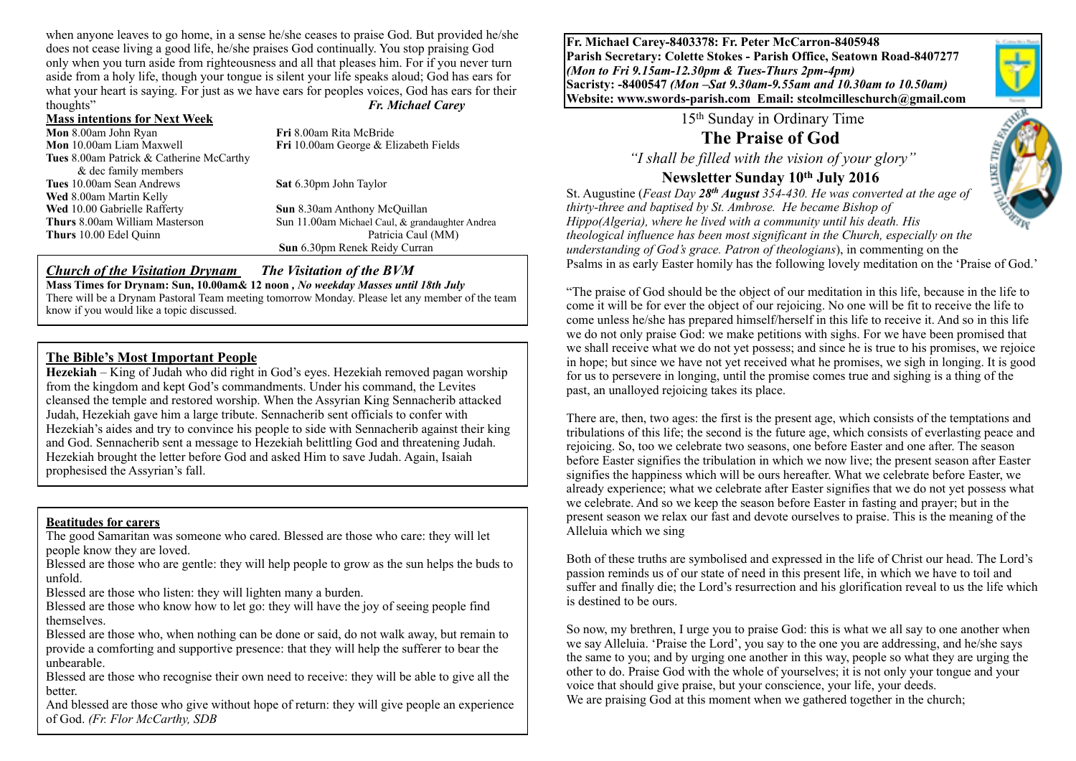when anyone leaves to go home, in a sense he/she ceases to praise God. But provided he/she does not cease living a good life, he/she praises God continually. You stop praising God only when you turn aside from righteousness and all that pleases him. For if you never turn aside from a holy life, though your tongue is silent your life speaks aloud; God has ears for what your heart is saying. For just as we have ears for peoples voices, God has ears for their thoughts" *Fr. Michael Carey*

#### **Mass intentions for Next Week**

**Mon** 8.00am John Ryan **Fri** 8.00am Rita McBride **Mon** 10.00am Liam Maxwell **Fri** 10.00am George & Elizabeth Fields **Tues** 8.00am Patrick & Catherine McCarthy & dec family members **Tues** 10.00am Sean Andrews **Sat** 6.30pm John Taylor **Wed** 8.00am Martin Kelly **Wed** 10.00 Gabrielle Rafferty **Sun** 8.30am Anthony McQuillan **Thurs** 10.00 Edel Quinn

**Thurs** 8.00am William Masterson Sun 11.00am Michael Caul, & grandaughter Andrea<br> **Thurs** 10.00 Edel Ouinn Patricia Caul (MM) **Sun** 6.30pm Renek Reidy Curran

#### *Church of the Visitation Drynam**The Visitation of the BVM*

**Mass Times for Drynam: Sun, 10.00am& 12 noon** *, No weekday Masses until 18th July* 

There will be a Drynam Pastoral Team meeting tomorrow Monday. Please let any member of the team know if you would like a topic discussed.

#### **The Bible's Most Important People**

**Hezekiah** – King of Judah who did right in God's eyes. Hezekiah removed pagan worship from the kingdom and kept God's commandments. Under his command, the Levites cleansed the temple and restored worship. When the Assyrian King Sennacherib attacked Judah, Hezekiah gave him a large tribute. Sennacherib sent officials to confer with Hezekiah's aides and try to convince his people to side with Sennacherib against their king and God. Sennacherib sent a message to Hezekiah belittling God and threatening Judah. Hezekiah brought the letter before God and asked Him to save Judah. Again, Isaiah prophesised the Assyrian's fall.

#### **Beatitudes for carers**

The good Samaritan was someone who cared. Blessed are those who care: they will let people know they are loved.

Blessed are those who are gentle: they will help people to grow as the sun helps the buds to unfold.

Blessed are those who listen: they will lighten many a burden.

Blessed are those who know how to let go: they will have the joy of seeing people find themselves.

Blessed are those who, when nothing can be done or said, do not walk away, but remain to provide a comforting and supportive presence: that they will help the sufferer to bear the unbearable.

Blessed are those who recognise their own need to receive: they will be able to give all the better.

And blessed are those who give without hope of return: they will give people an experience of God. *(Fr. Flor McCarthy, SDB*

**Fr. Michael Carey-8403378: Fr. Peter McCarron-8405948 Parish Secretary: Colette Stokes - Parish Office, Seatown Road-8407277**  *(Mon to Fri 9.15am-12.30pm & Tues-Thurs 2pm-4pm)*  **Sacristy: -8400547** *(Mon –Sat 9.30am-9.55am and 10.30am to 10.50am)* **Website: [www.swords-parish.com Email:](http://www.swords-parish.com%20%20email) stcolmcilleschurch@gmail.com**

15th Sunday in Ordinary Time

**The Praise of God** 

 *"I shall be filled with the vision of your glory"* 

## **Newsletter Sunday 10th July 2016**

St. Augustine (*Feast Day 28th August 354-430. He was converted at the age of thirty-three and baptised by St. Ambrose. He became Bishop of Hippo(Algeria), where he lived with a community until his death. His theological influence has been most significant in the Church, especially on the understanding of God's grace. Patron of theologians*), in commenting on the Psalms in as early Easter homily has the following lovely meditation on the 'Praise of God.'

"The praise of God should be the object of our meditation in this life, because in the life to come it will be for ever the object of our rejoicing. No one will be fit to receive the life to come unless he/she has prepared himself/herself in this life to receive it. And so in this life we do not only praise God: we make petitions with sighs. For we have been promised that we shall receive what we do not yet possess; and since he is true to his promises, we rejoice in hope; but since we have not yet received what he promises, we sigh in longing. It is good for us to persevere in longing, until the promise comes true and sighing is a thing of the past, an unalloyed rejoicing takes its place.

There are, then, two ages: the first is the present age, which consists of the temptations and tribulations of this life; the second is the future age, which consists of everlasting peace and rejoicing. So, too we celebrate two seasons, one before Easter and one after. The season before Easter signifies the tribulation in which we now live; the present season after Easter signifies the happiness which will be ours hereafter. What we celebrate before Easter, we already experience; what we celebrate after Easter signifies that we do not yet possess what we celebrate. And so we keep the season before Easter in fasting and prayer; but in the present season we relax our fast and devote ourselves to praise. This is the meaning of the Alleluia which we sing

Both of these truths are symbolised and expressed in the life of Christ our head. The Lord's passion reminds us of our state of need in this present life, in which we have to toil and suffer and finally die; the Lord's resurrection and his glorification reveal to us the life which is destined to be ours.

So now, my brethren, I urge you to praise God: this is what we all say to one another when we say Alleluia. 'Praise the Lord', you say to the one you are addressing, and he/she says the same to you; and by urging one another in this way, people so what they are urging the other to do. Praise God with the whole of yourselves; it is not only your tongue and your voice that should give praise, but your conscience, your life, your deeds. We are praising God at this moment when we gathered together in the church;